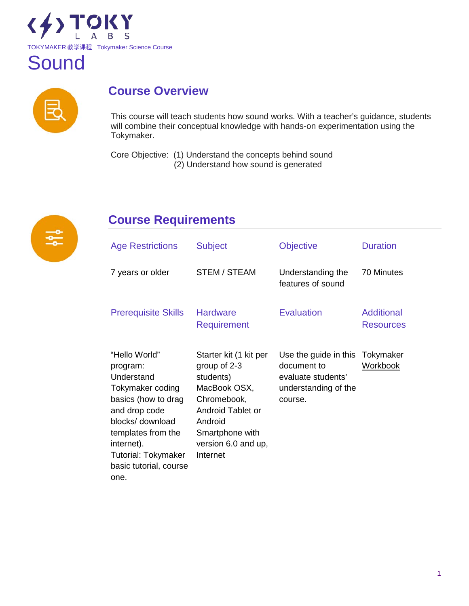



# **Course Overview**

This course will teach students how sound works. With a teacher's guidance, students will combine their conceptual knowledge with hands-on experimentation using the Tokymaker.

Core Objective: (1) Understand the concepts behind sound (2) Understand how sound is generated



# **Course Requirements**

| <b>Age Restrictions</b>                                                                                                                                                                                                     | <b>Subject</b>                                                                                                                                                           | <b>Objective</b>                                                                              | <b>Duration</b>                       |
|-----------------------------------------------------------------------------------------------------------------------------------------------------------------------------------------------------------------------------|--------------------------------------------------------------------------------------------------------------------------------------------------------------------------|-----------------------------------------------------------------------------------------------|---------------------------------------|
| 7 years or older                                                                                                                                                                                                            | <b>STEM / STEAM</b>                                                                                                                                                      | Understanding the<br>features of sound                                                        | 70 Minutes                            |
| <b>Prerequisite Skills</b>                                                                                                                                                                                                  | <b>Hardware</b><br>Requirement                                                                                                                                           | <b>Evaluation</b>                                                                             | <b>Additional</b><br><b>Resources</b> |
| "Hello World"<br>program:<br>Understand<br>Tokymaker coding<br>basics (how to drag<br>and drop code<br>blocks/ download<br>templates from the<br>internet).<br><b>Tutorial: Tokymaker</b><br>basic tutorial, course<br>one. | Starter kit (1 kit per<br>group of 2-3<br>students)<br>MacBook OSX,<br>Chromebook,<br>Android Tablet or<br>Android<br>Smartphone with<br>version 6.0 and up,<br>Internet | Use the guide in this<br>document to<br>evaluate students'<br>understanding of the<br>course. | <u>Tokymaker</u><br><b>Workbook</b>   |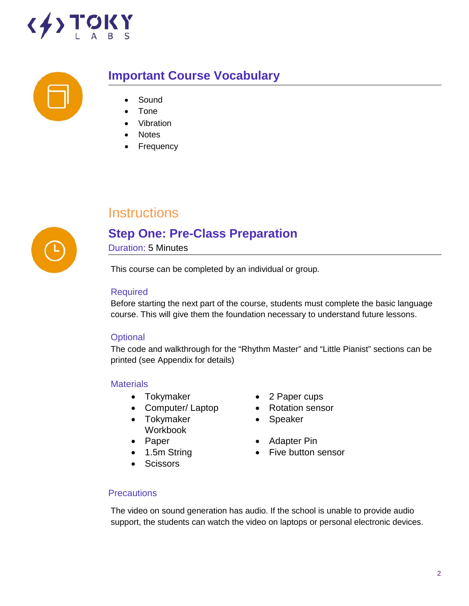



## **Important Course Vocabulary**

- **Sound**
- Tone
- **Vibration**
- **Notes**
- **Frequency**



# **Instructions**

# **Step One: Pre-Class Preparation**

Duration: 5 Minutes

This course can be completed by an individual or group.

#### Required

Before starting the next part of the course, students must complete the basic language course. This will give them the foundation necessary to understand future lessons.

#### **Optional**

The code and walkthrough for the "Rhythm Master" and "Little Pianist" sections can be printed (see Appendix for details)

#### **Materials**

- 
- Computer/Laptop Rotation sensor
- Tokymaker Workbook
- 
- 
- Scissors
- Tokymaker 2 Paper cups
	-
	- Speaker
- Paper Adapter Pin
- 1.5m String Five button sensor

#### **Precautions**

The video on sound generation has audio. If the school is unable to provide audio support, the students can watch the video on laptops or personal electronic devices.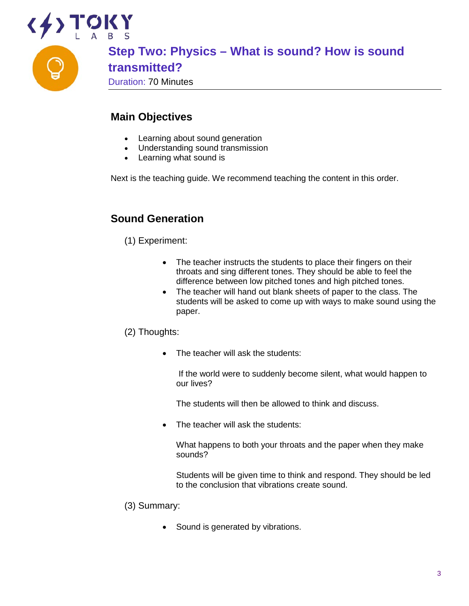

#### **Main Objectives**

- Learning about sound generation
- Understanding sound transmission
- Learning what sound is

Next is the teaching guide. We recommend teaching the content in this order.

#### **Sound Generation**

(1) Experiment:

- The teacher instructs the students to place their fingers on their throats and sing different tones. They should be able to feel the difference between low pitched tones and high pitched tones.
- The teacher will hand out blank sheets of paper to the class. The students will be asked to come up with ways to make sound using the paper.

#### (2) Thoughts:

The teacher will ask the students:

If the world were to suddenly become silent, what would happen to our lives?

The students will then be allowed to think and discuss.

• The teacher will ask the students:

What happens to both your throats and the paper when they make sounds?

Students will be given time to think and respond. They should be led to the conclusion that vibrations create sound.

- (3) Summary:
	- Sound is generated by vibrations.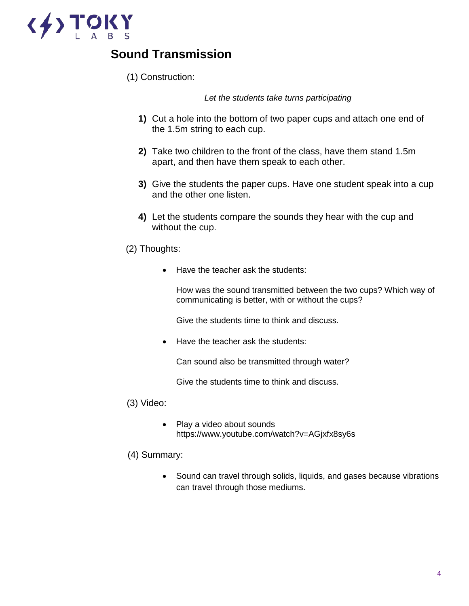

# **Sound Transmission**

(1) Construction:

 *Let the students take turns participating*

- **1)** Cut a hole into the bottom of two paper cups and attach one end of the 1.5m string to each cup.
- **2)** Take two children to the front of the class, have them stand 1.5m apart, and then have them speak to each other.
- **3)** Give the students the paper cups. Have one student speak into a cup and the other one listen.
- **4)** Let the students compare the sounds they hear with the cup and without the cup.
- (2) Thoughts:
	- Have the teacher ask the students:

How was the sound transmitted between the two cups? Which way of communicating is better, with or without the cups?

Give the students time to think and discuss.

• Have the teacher ask the students:

Can sound also be transmitted through water?

Give the students time to think and discuss.

- (3) Video:
	- Play a video about sounds https://www.youtube.com/watch?v=AGjxfx8sy6s
- (4) Summary:
	- Sound can travel through solids, liquids, and gases because vibrations can travel through those mediums.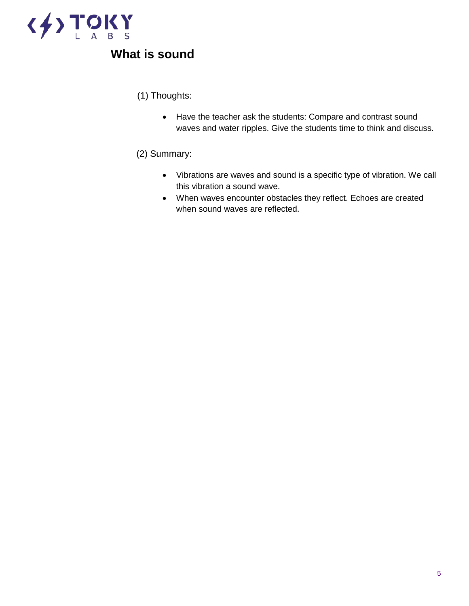

# **What is sound**

(1) Thoughts:

• Have the teacher ask the students: Compare and contrast sound waves and water ripples. Give the students time to think and discuss.

#### (2) Summary:

- Vibrations are waves and sound is a specific type of vibration. We call this vibration a sound wave.
- When waves encounter obstacles they reflect. Echoes are created when sound waves are reflected.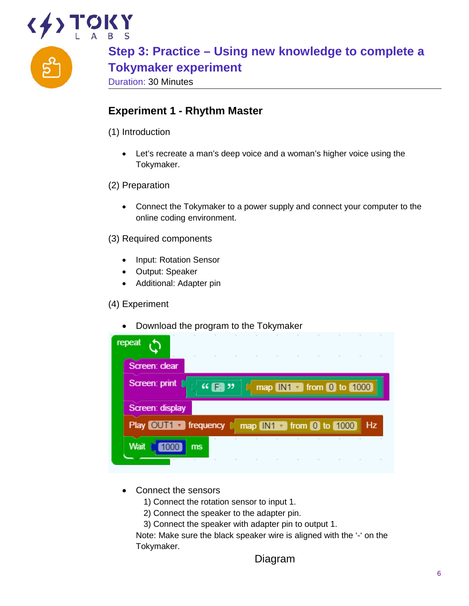

**Step 3: Practice – Using new knowledge to complete a Tokymaker experiment**

Duration: 30 Minutes

## **Experiment 1 - Rhythm Master**

- (1) Introduction
	- Let's recreate a man's deep voice and a woman's higher voice using the Tokymaker.
- (2) Preparation
	- Connect the Tokymaker to a power supply and connect your computer to the online coding environment.
- (3) Required components
	- Input: Rotation Sensor
	- Output: Speaker
	- Additional: Adapter pin

#### (4) Experiment

• Download the program to the Tokymaker

| repeat                                           | the control of the<br>$\sim$ |                                                                                                                                                                                                                                                                                                                     | the contract of the contract of the contract of the contract of the contract of the contract of the contract of<br>All Controllers |  | where the property of the property of the control of the control of the control of |    |
|--------------------------------------------------|------------------------------|---------------------------------------------------------------------------------------------------------------------------------------------------------------------------------------------------------------------------------------------------------------------------------------------------------------------|------------------------------------------------------------------------------------------------------------------------------------|--|------------------------------------------------------------------------------------|----|
| Screen: clear                                    |                              |                                                                                                                                                                                                                                                                                                                     |                                                                                                                                    |  |                                                                                    |    |
| Screen: print                                    |                              | $\frac{1}{2}$ $\frac{1}{2}$ $\frac{1}{2}$ $\frac{1}{2}$ $\frac{1}{2}$ $\frac{1}{2}$ $\frac{1}{2}$ $\frac{1}{2}$ $\frac{1}{2}$ $\frac{1}{2}$ $\frac{1}{2}$ $\frac{1}{2}$ $\frac{1}{2}$ $\frac{1}{2}$ $\frac{1}{2}$ $\frac{1}{2}$ $\frac{1}{2}$ $\frac{1}{2}$ $\frac{1}{2}$ $\frac{1}{2}$ $\frac{1}{2}$ $\frac{1}{2}$ |                                                                                                                                    |  | [ map IN1   from 0 to 1000                                                         |    |
|                                                  |                              |                                                                                                                                                                                                                                                                                                                     |                                                                                                                                    |  |                                                                                    |    |
| Screen: display                                  |                              |                                                                                                                                                                                                                                                                                                                     |                                                                                                                                    |  |                                                                                    |    |
| Play OUT1 T frequency [ map IN1 T from 0 to 1000 |                              |                                                                                                                                                                                                                                                                                                                     |                                                                                                                                    |  |                                                                                    | Hz |

- Connect the sensors
	- 1) Connect the rotation sensor to input 1.
	- 2) Connect the speaker to the adapter pin.
	- 3) Connect the speaker with adapter pin to output 1.

Note: Make sure the black speaker wire is aligned with the '-' on the Tokymaker.

Diagram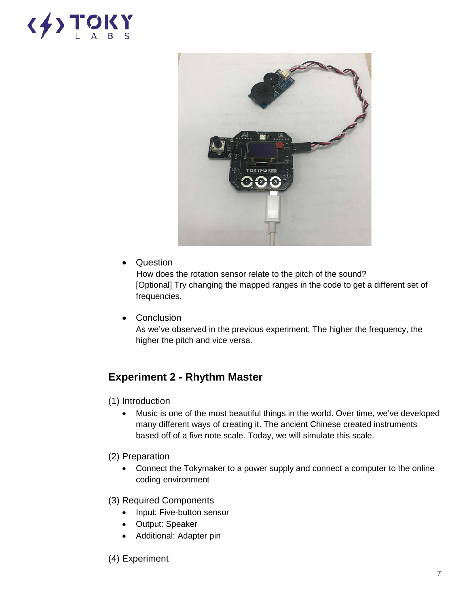# $\langle \frac{1}{2} \rangle$  TOKY



• Question

 How does the rotation sensor relate to the pitch of the sound? [Optional] Try changing the mapped ranges in the code to get a different set of frequencies.

• Conclusion

As we've observed in the previous experiment: The higher the frequency, the higher the pitch and vice versa.

### **Experiment 2 - Rhythm Master**

- (1) Introduction
	- Music is one of the most beautiful things in the world. Over time, we've developed many different ways of creating it. The ancient Chinese created instruments based off of a five note scale. Today, we will simulate this scale.
- (2) Preparation
	- Connect the Tokymaker to a power supply and connect a computer to the online coding environment
- (3) Required Components
	- Input: Five-button sensor
	- Output: Speaker
	- Additional: Adapter pin
- (4) Experiment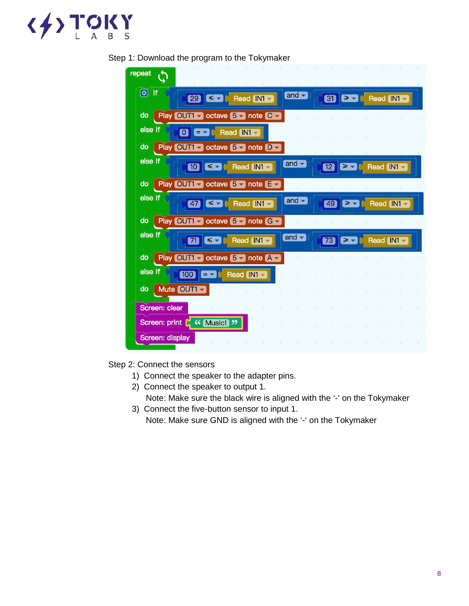

| repeat                                                                                |                           |    |  |                                             |  |
|---------------------------------------------------------------------------------------|---------------------------|----|--|---------------------------------------------|--|
| $\overline{\omega}$ if<br>29 SV Read IN1                                              | and $\blacktriangleright$ | 81 |  | $\geq$ $\sim$ $\sim$ Read IN1 $\sim$        |  |
| Play OUT1 ctave 5 chote C<br>do                                                       |                           |    |  |                                             |  |
| else if<br>$\overline{\mathbf{O}}$<br>$\boxed{\blacksquare}$ Read $\boxed{\text{N1}}$ |                           |    |  |                                             |  |
| Play OUT1 cotave 5 note D -<br>do                                                     |                           |    |  |                                             |  |
| else if<br>$\leq$ $\sim$ $\sim$ Read IN1 $\sim$<br>$\bullet$                          | and                       | 12 |  | $\geq$ $\sim$ $\sim$ Read (IN1 $\sim$       |  |
| Play OUT1 cotave 5 chote E c<br>do                                                    |                           |    |  |                                             |  |
| else if<br>$\leq$ $\bullet$ $\circ$ Read IN1 $\bullet$<br>47                          | and $\blacktriangleright$ | 49 |  | $\geq$ $\sim$ $\sim$ Read IN1 $\sim$        |  |
| do<br>Play OUT1 cotave 5 note G                                                       |                           |    |  |                                             |  |
| else if<br>$\leq$ $\bullet$ $\mid$ Read $\mid$ N1 $\bullet$<br>m                      | and                       | 73 |  | $\geq$ $\sim$ $\sim$ Read $\mid$ IN1 $\sim$ |  |
| Play OUT1 v octave 5 v note A v<br>do                                                 |                           |    |  |                                             |  |
| else if<br>EV C Read IN1<br>100                                                       |                           |    |  |                                             |  |
| Mute OUT1<br>$\mathsf{do}$                                                            |                           |    |  |                                             |  |
| Screen: clear                                                                         |                           |    |  |                                             |  |
| Screen: print C <sup>44</sup> Music! "                                                |                           |    |  |                                             |  |
| Screen: display                                                                       |                           |    |  |                                             |  |

#### Step 1: Download the program to the Tokymaker

Step 2: Connect the sensors

- 1) Connect the speaker to the adapter pins.
- 2) Connect the speaker to output 1. Note: Make sure the black wire is aligned with the '-' on the Tokymaker
- 3) Connect the five-button sensor to input 1. Note: Make sure GND is aligned with the '-' on the Tokymaker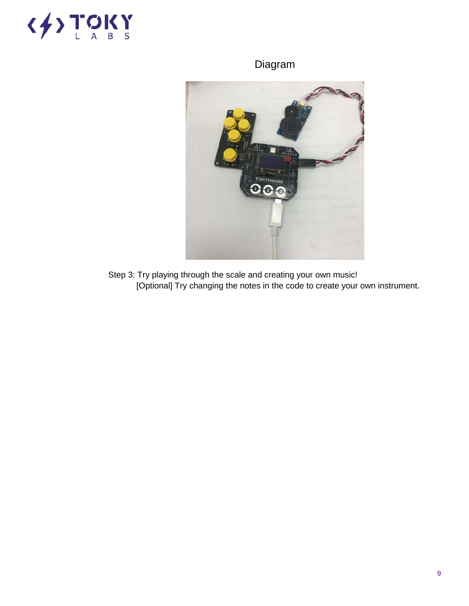

# Diagram



Step 3: Try playing through the scale and creating your own music! [Optional] Try changing the notes in the code to create your own instrument.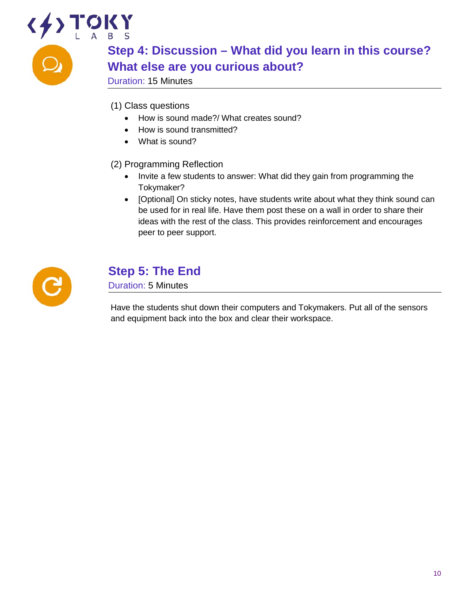# $\left\langle \frac{1}{2} \right\rangle$ **Step 4: Discussion – What did you learn in this course? What else are you curious about?** Duration: 15 Minutes

- (1) Class questions
	- How is sound made?/ What creates sound?
	- How is sound transmitted?
	- What is sound?

(2) Programming Reflection

- Invite a few students to answer: What did they gain from programming the Tokymaker?
- [Optional] On sticky notes, have students write about what they think sound can be used for in real life. Have them post these on a wall in order to share their ideas with the rest of the class. This provides reinforcement and encourages peer to peer support.



# **Step 5: The End**

Duration: 5 Minutes

Have the students shut down their computers and Tokymakers. Put all of the sensors and equipment back into the box and clear their workspace.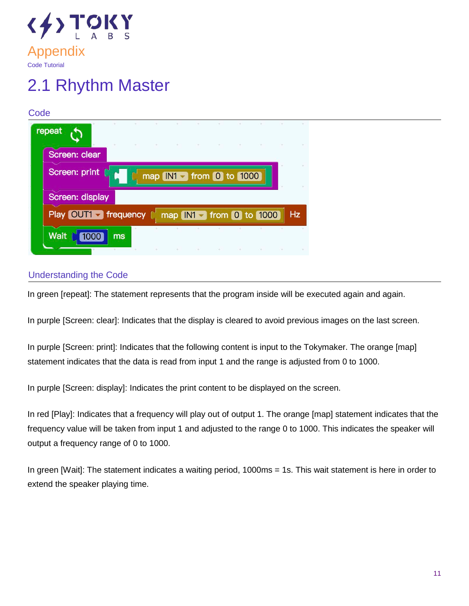

# 2.1 Rhythm Master

#### **Code** repeat Screen: clear Screen: print map IN1 from 0 to 1000 Screen: display Play OUT1 Trequency map  $IN1 - from 0$  to 1000 **Hz Wait** 1000 ms

#### Understanding the Code

In green [repeat]: The statement represents that the program inside will be executed again and again.

In purple [Screen: clear]: Indicates that the display is cleared to avoid previous images on the last screen.

In purple [Screen: print]: Indicates that the following content is input to the Tokymaker. The orange [map] statement indicates that the data is read from input 1 and the range is adjusted from 0 to 1000.

In purple [Screen: display]: Indicates the print content to be displayed on the screen.

In red [Play]: Indicates that a frequency will play out of output 1. The orange [map] statement indicates that the frequency value will be taken from input 1 and adjusted to the range 0 to 1000. This indicates the speaker will output a frequency range of 0 to 1000.

In green [Wait]: The statement indicates a waiting period, 1000ms = 1s. This wait statement is here in order to extend the speaker playing time.